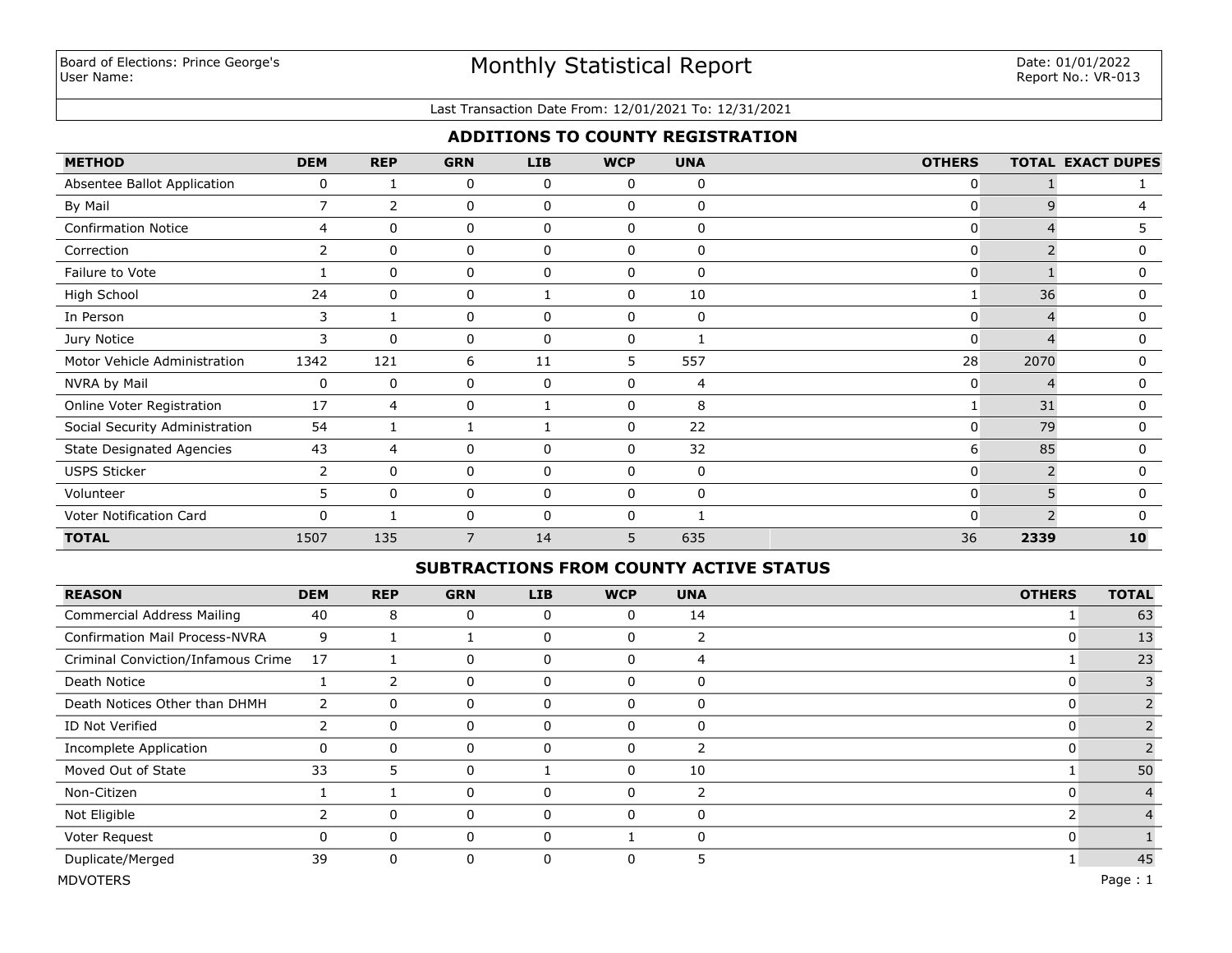### Last Transaction Date From: 12/01/2021 To: 12/31/2021

## **ADDITIONS TO COUNTY REGISTRATION**

| <b>METHOD</b>                    | <b>DEM</b>     | <b>REP</b>   | <b>GRN</b> | <b>LIB</b>   | <b>WCP</b>   | <b>UNA</b> | <b>OTHERS</b>  |                          | <b>TOTAL EXACT DUPES</b> |
|----------------------------------|----------------|--------------|------------|--------------|--------------|------------|----------------|--------------------------|--------------------------|
| Absentee Ballot Application      | 0              |              | 0          | 0            | 0            | 0          | 0              |                          |                          |
| By Mail                          | $\overline{7}$ | 2            | 0          | 0            | 0            | $\Omega$   | $\mathbf{0}$   | 9                        | 4                        |
| <b>Confirmation Notice</b>       | 4              | $\mathbf{0}$ | 0          | $\mathbf{0}$ | $\mathbf{0}$ | $\Omega$   | $\overline{0}$ |                          | 5.                       |
| Correction                       | $\overline{2}$ | $\mathbf{0}$ | 0          | 0            | $\Omega$     | $\Omega$   | $\mathbf{0}$   | $\overline{\phantom{0}}$ | 0                        |
| Failure to Vote                  |                | $\mathbf{0}$ | 0          | $\mathbf{0}$ | $\mathbf{0}$ | $\Omega$   | $\mathbf{0}$   |                          | 0                        |
| High School                      | 24             | $\mathbf{0}$ | 0          |              | $\mathbf{0}$ | 10         |                | 36                       | 0                        |
| In Person                        | 3              |              | 0          | $\mathbf{0}$ | $\mathbf{0}$ | 0          | $\overline{0}$ | $\Delta$                 | $\Omega$                 |
| Jury Notice                      | 3              | $\Omega$     | 0          | 0            | 0            |            | $\mathbf{0}$   | 4                        | 0                        |
| Motor Vehicle Administration     | 1342           | 121          | 6          | 11           | 5            | 557        | 28             | 2070                     | 0                        |
| NVRA by Mail                     | 0              | $\mathbf 0$  | 0          | 0            | 0            | 4          | 0              |                          | 0                        |
| Online Voter Registration        | 17             | 4            | 0          |              | 0            | 8          |                | 31                       | 0                        |
| Social Security Administration   | 54             |              |            |              | 0            | 22         | 0              | 79                       | 0                        |
| <b>State Designated Agencies</b> | 43             | 4            | 0          | 0            | $\mathbf{0}$ | 32         | 6              | 85                       | 0                        |
| <b>USPS Sticker</b>              | 2              | $\mathbf{0}$ | 0          | $\mathbf 0$  | $\mathbf{0}$ | 0          | $\overline{0}$ |                          | 0                        |
| Volunteer                        | 5              | $\mathbf{0}$ | 0          | 0            | $\mathbf{0}$ | 0          | $\overline{0}$ | 5                        | $\Omega$                 |
| Voter Notification Card          | 0              |              | 0          | 0            | 0            |            | $\Omega$       |                          | $\Omega$                 |
| <b>TOTAL</b>                     | 1507           | 135          | 7          | 14           | 5            | 635        | 36             | 2339                     | 10                       |

### **SUBTRACTIONS FROM COUNTY ACTIVE STATUS**

| <b>REASON</b>                         | <b>DEM</b> | <b>REP</b>  | <b>GRN</b> | <b>LIB</b> | <b>WCP</b> | <b>UNA</b> | <b>OTHERS</b> | <b>TOTAL</b> |
|---------------------------------------|------------|-------------|------------|------------|------------|------------|---------------|--------------|
| Commercial Address Mailing            | 40         | 8           | 0          | 0          | 0          | 14         |               | 63           |
| <b>Confirmation Mail Process-NVRA</b> | 9          |             |            | 0          | $\Omega$   | 2          |               | 13           |
| Criminal Conviction/Infamous Crime    | 17         |             | 0          | 0          | 0          | 4          |               | 23           |
| Death Notice                          |            |             | 0          | 0          | 0          | 0          |               |              |
| Death Notices Other than DHMH         |            | 0           | 0          | 0          | $\Omega$   | 0          |               |              |
| ID Not Verified                       |            | 0           | 0          | 0          | $\Omega$   | 0          |               |              |
| <b>Incomplete Application</b>         | 0          | $\mathbf 0$ | 0          | 0          | $\Omega$   | ำ          |               |              |
| Moved Out of State                    | 33         | 5           | 0          |            | 0          | 10         |               | 50           |
| Non-Citizen                           |            |             | 0          | 0          | $\Omega$   | 2          |               |              |
| Not Eligible                          |            | $\mathbf 0$ | 0          | $\Omega$   | $\Omega$   | 0          |               |              |
| Voter Request                         | 0          | $\mathbf 0$ | 0          | 0          |            | 0          |               |              |
| Duplicate/Merged                      | 39         | 0           | 0          | 0          | $\Omega$   | 5          |               | 45           |

MDVOTERS Page : 1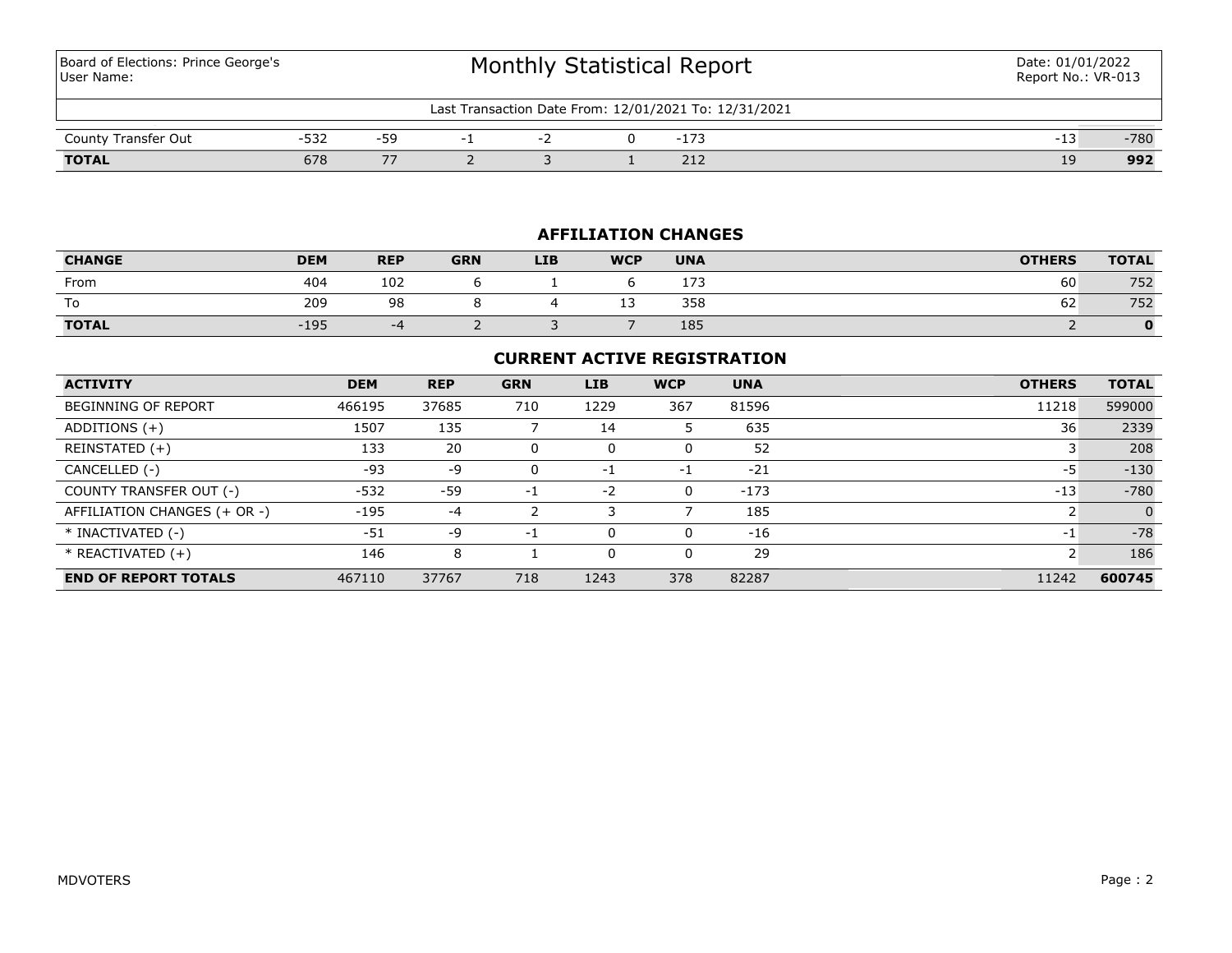Board of Elections: Prince George's User Name:

| 12/01/2021 To: 12/31/2021<br>. Fransaction Date From: 1<br>∟ast |                |       |  |  |  |                       |  |    |        |
|-----------------------------------------------------------------|----------------|-------|--|--|--|-----------------------|--|----|--------|
|                                                                 |                |       |  |  |  |                       |  |    |        |
| Transfer Out<br>County                                          | $- - -$<br>ے ت | -59   |  |  |  | — <b>—</b>            |  | -- | $-780$ |
| <b>TOTAL</b>                                                    | 678            | $- -$ |  |  |  | $\sim$ $\sim$<br>$-1$ |  | ΤA | 992    |

## **AFFILIATION CHANGES**

| <b>CHANGE</b> | <b>DEM</b> | <b>REP</b> | <b>GRN</b> | <b>LIB</b> | <b>WCP</b> | <b>UNA</b> | <b>OTHERS</b> | <b>TOTAL</b> |
|---------------|------------|------------|------------|------------|------------|------------|---------------|--------------|
| From          | 404        | 102        |            |            |            | . – –      | 60            | 752          |
| To            | 209        | 98         |            |            | . -<br>--  | 358        | 62            | 752          |
| <b>TOTAL</b>  | $-195$     | -4         |            |            |            | 185        |               |              |

## **CURRENT ACTIVE REGISTRATION**

| <b>ACTIVITY</b>              | <b>DEM</b> | <b>REP</b> | <b>GRN</b> | <b>LIB</b> | <b>WCP</b> | <b>UNA</b> | <b>OTHERS</b> | <b>TOTAL</b> |
|------------------------------|------------|------------|------------|------------|------------|------------|---------------|--------------|
| <b>BEGINNING OF REPORT</b>   | 466195     | 37685      | 710        | 1229       | 367        | 81596      | 11218         | 599000       |
| ADDITIONS (+)                | 1507       | 135        |            | 14         | 5          | 635        | 36            | 2339         |
| REINSTATED (+)               | 133        | 20         |            | 0          | 0          | 52         |               | 208          |
| CANCELLED (-)                | $-93$      | -9         |            | -1         | -1         | $-21$      | -5            | $-130$       |
| COUNTY TRANSFER OUT (-)      | $-532$     | -59        | $-1$       | $-2$       | $\Omega$   | $-173$     | $-13$         | $-780$       |
| AFFILIATION CHANGES (+ OR -) | $-195$     | $-4$       |            | 3          |            | 185        |               | $\Omega$     |
| * INACTIVATED (-)            | $-51$      | -9         | $-1$       | 0          | $\Omega$   | $-16$      | $-1$          | $-78$        |
| $*$ REACTIVATED $(+)$        | 146        | 8          |            | 0          | $\Omega$   | 29         | ∍             | 186          |
| <b>END OF REPORT TOTALS</b>  | 467110     | 37767      | 718        | 1243       | 378        | 82287      | 11242         | 600745       |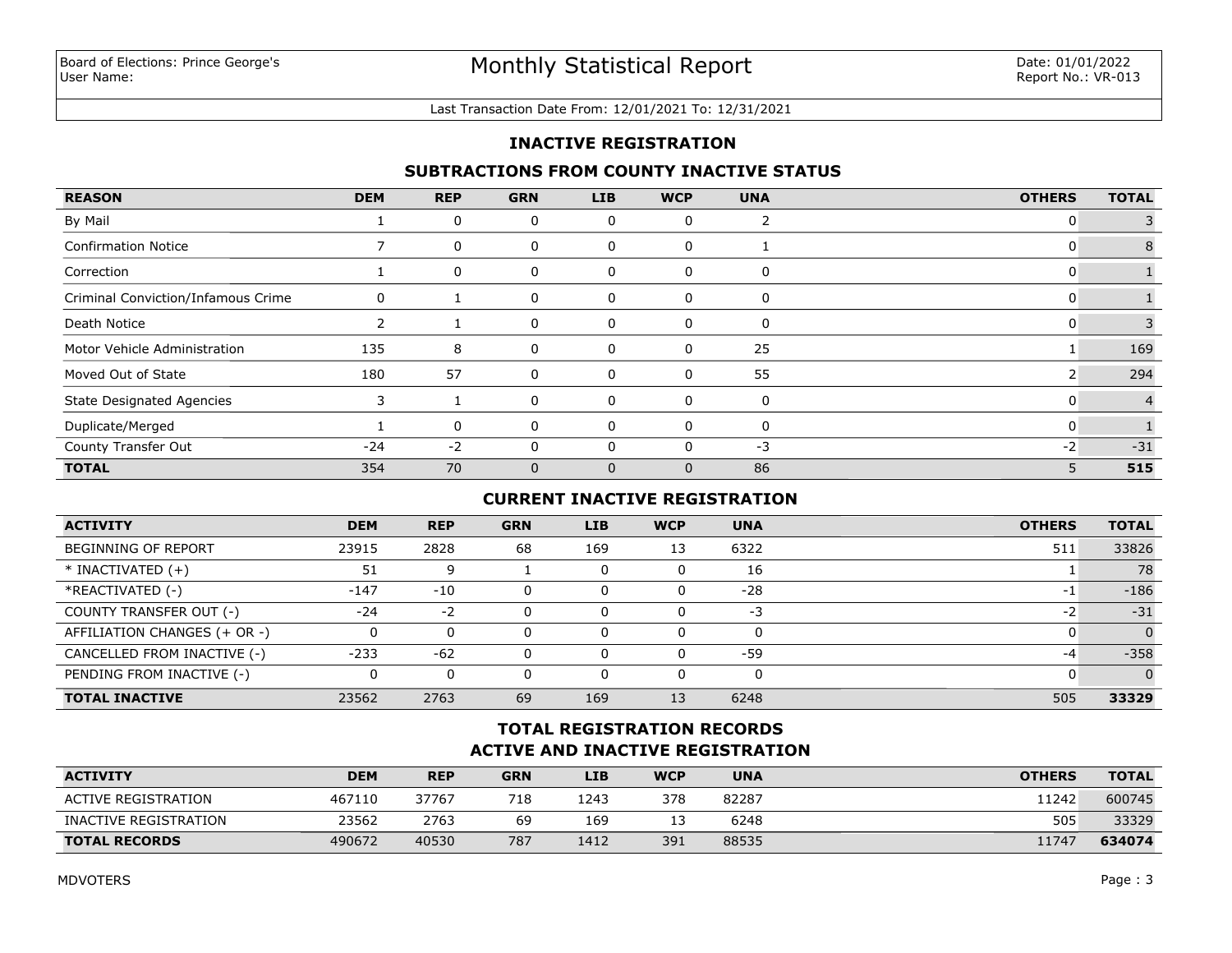#### Last Transaction Date From: 12/01/2021 To: 12/31/2021

### **INACTIVE REGISTRATION**

### **SUBTRACTIONS FROM COUNTY INACTIVE STATUS**

| <b>REASON</b>                      | <b>DEM</b> | <b>REP</b> | <b>GRN</b>   | <b>LIB</b> | <b>WCP</b> | <b>UNA</b>   | <b>OTHERS</b> | <b>TOTAL</b> |
|------------------------------------|------------|------------|--------------|------------|------------|--------------|---------------|--------------|
| By Mail                            |            | 0          | 0            | 0          | 0          |              |               |              |
| <b>Confirmation Notice</b>         |            | 0          | 0            | 0          | 0          |              |               |              |
| Correction                         |            | 0          | 0            | 0          | 0          | 0            |               |              |
| Criminal Conviction/Infamous Crime | 0          |            | 0            | 0          | 0          | 0            |               |              |
| Death Notice                       |            |            | 0            | 0          | 0          | 0            |               |              |
| Motor Vehicle Administration       | 135        | 8          | 0            | 0          | 0          | 25           |               | 169          |
| Moved Out of State                 | 180        | 57         | 0            | 0          | 0          | 55           |               | 294          |
| <b>State Designated Agencies</b>   |            |            | 0            | 0          | 0          | 0            |               |              |
| Duplicate/Merged                   |            | 0          | 0            | 0          | 0          | $\mathbf{0}$ | C             |              |
| County Transfer Out                | $-24$      | $-2$       | 0            | O          | O          | $-3$         | $-2$          | $-31$        |
| <b>TOTAL</b>                       | 354        | 70         | $\mathbf{0}$ | $\Omega$   | $\Omega$   | 86           | 5             | 515          |

# **CURRENT INACTIVE REGISTRATION**

| <b>ACTIVITY</b>              | <b>DEM</b> | <b>REP</b> | <b>GRN</b> | <b>LIB</b> | <b>WCP</b> | <b>UNA</b> | <b>OTHERS</b> | <b>TOTAL</b> |
|------------------------------|------------|------------|------------|------------|------------|------------|---------------|--------------|
| <b>BEGINNING OF REPORT</b>   | 23915      | 2828       | 68         | 169        | 13         | 6322       | 511           | 33826        |
| $*$ INACTIVATED $(+)$        | 51         | 9          |            |            | 0          | 16         |               | 78           |
| *REACTIVATED (-)             | $-147$     | $-10$      | $\Omega$   |            | 0          | $-28$      | $-1$          | $-186$       |
| COUNTY TRANSFER OUT (-)      | $-24$      | $-2$       | $\Omega$   |            | 0          | -3         | -2            | $-31$        |
| AFFILIATION CHANGES (+ OR -) |            |            |            |            | 0          |            |               | $\Omega$     |
| CANCELLED FROM INACTIVE (-)  | $-233$     | $-62$      | $\Omega$   |            | 0          | $-59$      | -4            | $-358$       |
| PENDING FROM INACTIVE (-)    |            |            |            |            | 0          |            |               | $\Omega$     |
| <b>TOTAL INACTIVE</b>        | 23562      | 2763       | 69         | 169        | 13         | 6248       | 505           | 33329        |

## **ACTIVE AND INACTIVE REGISTRATION TOTAL REGISTRATION RECORDS**

| <b>ACTIVITY</b>       | <b>DEM</b> | <b>REP</b> | <b>GRN</b> | <b>LIB</b> | <b>WCP</b> | <b>UNA</b> | <b>OTHERS</b> | <b>TOTAL</b> |
|-----------------------|------------|------------|------------|------------|------------|------------|---------------|--------------|
| ACTIVE REGISTRATION   | 467110     | 37767      | 718        | 1243       | 378        | 82287      | 1242          | 600745       |
| INACTIVE REGISTRATION | 23562      | 2763       | 69         | 169        |            | 6248       | 505           | 33329        |
| <b>TOTAL RECORDS</b>  | 490672     | 40530      | 787        | 1412       | 391        | 88535      | 11747         | 634074       |